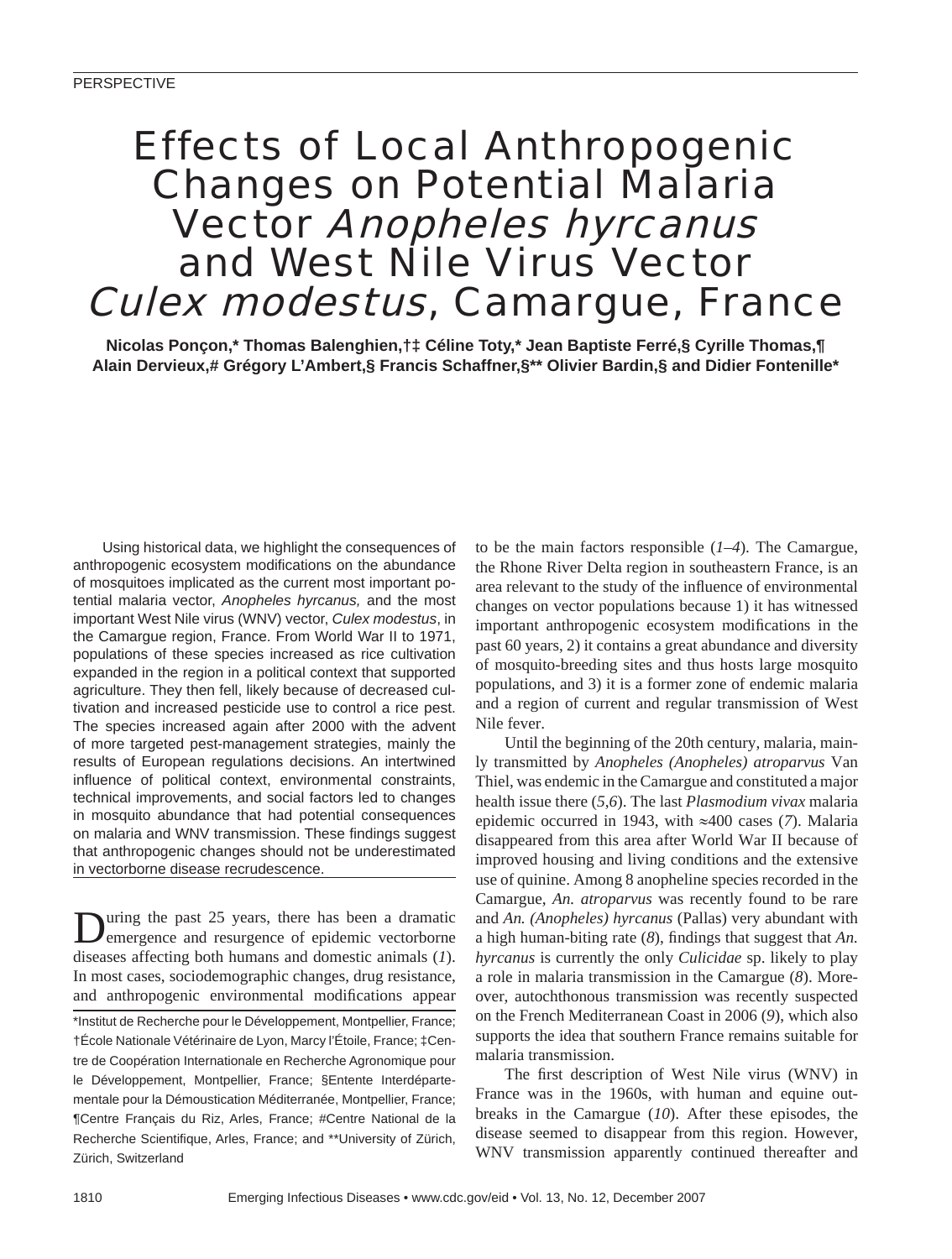# Effects of Local Anthropogenic Changes on Potential Malaria Vector Anopheles hyrcanus and West Nile Virus Vector Culex modestus, Camargue, France

**Nicolas Ponçon,\* Thomas Balenghien,†‡ Céline Toty,\* Jean Baptiste Ferré,§ Cyrille Thomas,¶ Alain Dervieux,# Grégory L'Ambert,§ Francis Schaffner,§\*\* Olivier Bardin,§ and Didier Fontenille\***

Using historical data, we highlight the consequences of anthropogenic ecosystem modifications on the abundance of mosquitoes implicated as the current most important potential malaria vector, *Anopheles hyrcanus,* and the most important West Nile virus (WNV) vector, *Culex modestus*, in the Camargue region, France. From World War II to 1971, populations of these species increased as rice cultivation expanded in the region in a political context that supported agriculture. They then fell, likely because of decreased cultivation and increased pesticide use to control a rice pest. The species increased again after 2000 with the advent of more targeted pest-management strategies, mainly the results of European regulations decisions. An intertwined influence of political context, environmental constraints, technical improvements, and social factors led to changes in mosquito abundance that had potential consequences on malaria and WNV transmission. These findings suggest that anthropogenic changes should not be underestimated in vectorborne disease recrudescence.

During the past 25 years, there has been a dramatic emergence and resurgence of epidemic vectorborne diseases affecting both humans and domestic animals (*1*). In most cases, sociodemographic changes, drug resistance, and anthropogenic environmental modifications appear \*Institut de Recherche pour le Développement, Montpellier, France; †École Nationale Vétérinaire de Lyon, Marcy l'Étoile, France; ‡Centre de Coopération Internationale en Recherche Agronomique pour le Développement, Montpellier, France; §Entente Interdépartementale pour la Démoustication Méditerranée, Montpellier, France; ¶Centre Français du Riz, Arles, France; #Centre National de la Recherche Scientifique, Arles, France; and \*\*University of Zürich, Zürich, Switzerland

to be the main factors responsible (*1*–*4*). The Camargue, the Rhone River Delta region in southeastern France, is an area relevant to the study of the influence of environmental changes on vector populations because 1) it has witnessed important anthropogenic ecosystem modifications in the past 60 years, 2) it contains a great abundance and diversity of mosquito-breeding sites and thus hosts large mosquito populations, and 3) it is a former zone of endemic malaria and a region of current and regular transmission of West Nile fever.

Until the beginning of the 20th century, malaria, mainly transmitted by *Anopheles (Anopheles) atroparvus* Van Thiel, was endemic in the Camargue and constituted a major health issue there (*5*,*6*). The last *Plasmodium vivax* malaria epidemic occurred in 1943, with ≈400 cases (*7*). Malaria disappeared from this area after World War II because of improved housing and living conditions and the extensive use of quinine. Among 8 anopheline species recorded in the Camargue, *An. atroparvus* was recently found to be rare and *An. (Anopheles) hyrcanus* (Pallas) very abundant with a high human-biting rate (8), findings that suggest that *An*. *hyrcanus* is currently the only *Culicidae* sp. likely to play a role in malaria transmission in the Camargue (*8*). Moreover, autochthonous transmission was recently suspected on the French Mediterranean Coast in 2006 (*9*), which also supports the idea that southern France remains suitable for malaria transmission.

The first description of West Nile virus (WNV) in France was in the 1960s, with human and equine outbreaks in the Camargue (*10*). After these episodes, the disease seemed to disappear from this region. However, WNV transmission apparently continued thereafter and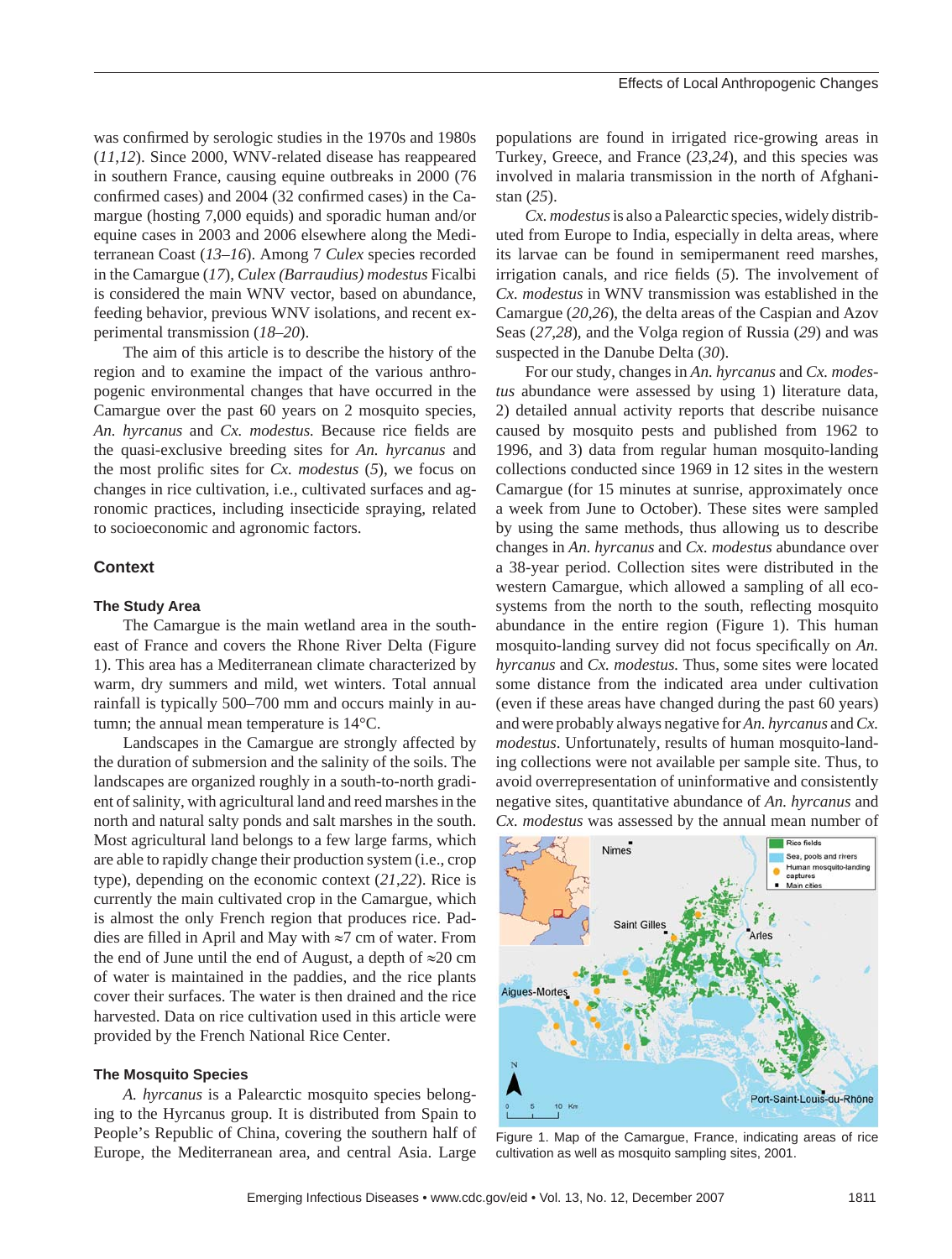was confirmed by serologic studies in the 1970s and 1980s (*11*,*12*). Since 2000, WNV-related disease has reappeared in southern France, causing equine outbreaks in 2000 (76 confirmed cases) and 2004 (32 confirmed cases) in the Camargue (hosting 7,000 equids) and sporadic human and/or equine cases in 2003 and 2006 elsewhere along the Mediterranean Coast (*13*–*16*). Among 7 *Culex* species recorded in the Camargue (*17*), *Culex (Barraudius) modestus* Ficalbi is considered the main WNV vector, based on abundance, feeding behavior, previous WNV isolations, and recent experimental transmission (*18*–*20*).

The aim of this article is to describe the history of the region and to examine the impact of the various anthropogenic environmental changes that have occurred in the Camargue over the past 60 years on 2 mosquito species, *An. hyrcanus* and *Cx. modestus.* Because rice fields are the quasi-exclusive breeding sites for *An. hyrcanus* and the most prolific sites for *Cx. modestus* (5), we focus on changes in rice cultivation, i.e., cultivated surfaces and agronomic practices, including insecticide spraying, related to socioeconomic and agronomic factors.

## **Context**

#### **The Study Area**

The Camargue is the main wetland area in the southeast of France and covers the Rhone River Delta (Figure 1). This area has a Mediterranean climate characterized by warm, dry summers and mild, wet winters. Total annual rainfall is typically 500–700 mm and occurs mainly in autumn; the annual mean temperature is 14°C.

Landscapes in the Camargue are strongly affected by the duration of submersion and the salinity of the soils. The landscapes are organized roughly in a south-to-north gradient of salinity, with agricultural land and reed marshes in the north and natural salty ponds and salt marshes in the south. Most agricultural land belongs to a few large farms, which are able to rapidly change their production system (i.e., crop type), depending on the economic context (*21*,*22*). Rice is currently the main cultivated crop in the Camargue, which is almost the only French region that produces rice. Paddies are filled in April and May with  $\approx$ 7 cm of water. From the end of June until the end of August, a depth of  $\approx 20$  cm of water is maintained in the paddies, and the rice plants cover their surfaces. The water is then drained and the rice harvested. Data on rice cultivation used in this article were provided by the French National Rice Center.

#### **The Mosquito Species**

*A. hyrcanus* is a Palearctic mosquito species belonging to the Hyrcanus group. It is distributed from Spain to People's Republic of China, covering the southern half of Europe, the Mediterranean area, and central Asia. Large

populations are found in irrigated rice-growing areas in Turkey, Greece, and France (*23*,*24*), and this species was involved in malaria transmission in the north of Afghanistan (*25*).

*Cx. modestus* is also a Palearctic species, widely distributed from Europe to India, especially in delta areas, where its larvae can be found in semipermanent reed marshes, irrigation canals, and rice fields (5). The involvement of *Cx. modestus* in WNV transmission was established in the Camargue (*20*,*26*), the delta areas of the Caspian and Azov Seas (*27*,*28*), and the Volga region of Russia (*29*) and was suspected in the Danube Delta (*30*).

For our study, changes in *An. hyrcanus* and *Cx. modestus* abundance were assessed by using 1) literature data, 2) detailed annual activity reports that describe nuisance caused by mosquito pests and published from 1962 to 1996, and 3) data from regular human mosquito-landing collections conducted since 1969 in 12 sites in the western Camargue (for 15 minutes at sunrise, approximately once a week from June to October). These sites were sampled by using the same methods, thus allowing us to describe changes in *An. hyrcanus* and *Cx. modestus* abundance over a 38-year period. Collection sites were distributed in the western Camargue, which allowed a sampling of all ecosystems from the north to the south, reflecting mosquito abundance in the entire region (Figure 1). This human mosquito-landing survey did not focus specifically on *An*. *hyrcanus* and *Cx. modestus.* Thus, some sites were located some distance from the indicated area under cultivation (even if these areas have changed during the past 60 years) and were probably always negative for *An. hyrcanus* and *Cx. modestus*. Unfortunately, results of human mosquito-landing collections were not available per sample site. Thus, to avoid overrepresentation of uninformative and consistently negative sites, quantitative abundance of *An. hyrcanus* and *Cx. modestus* was assessed by the annual mean number of



Figure 1. Map of the Camargue, France, indicating areas of rice cultivation as well as mosquito sampling sites, 2001.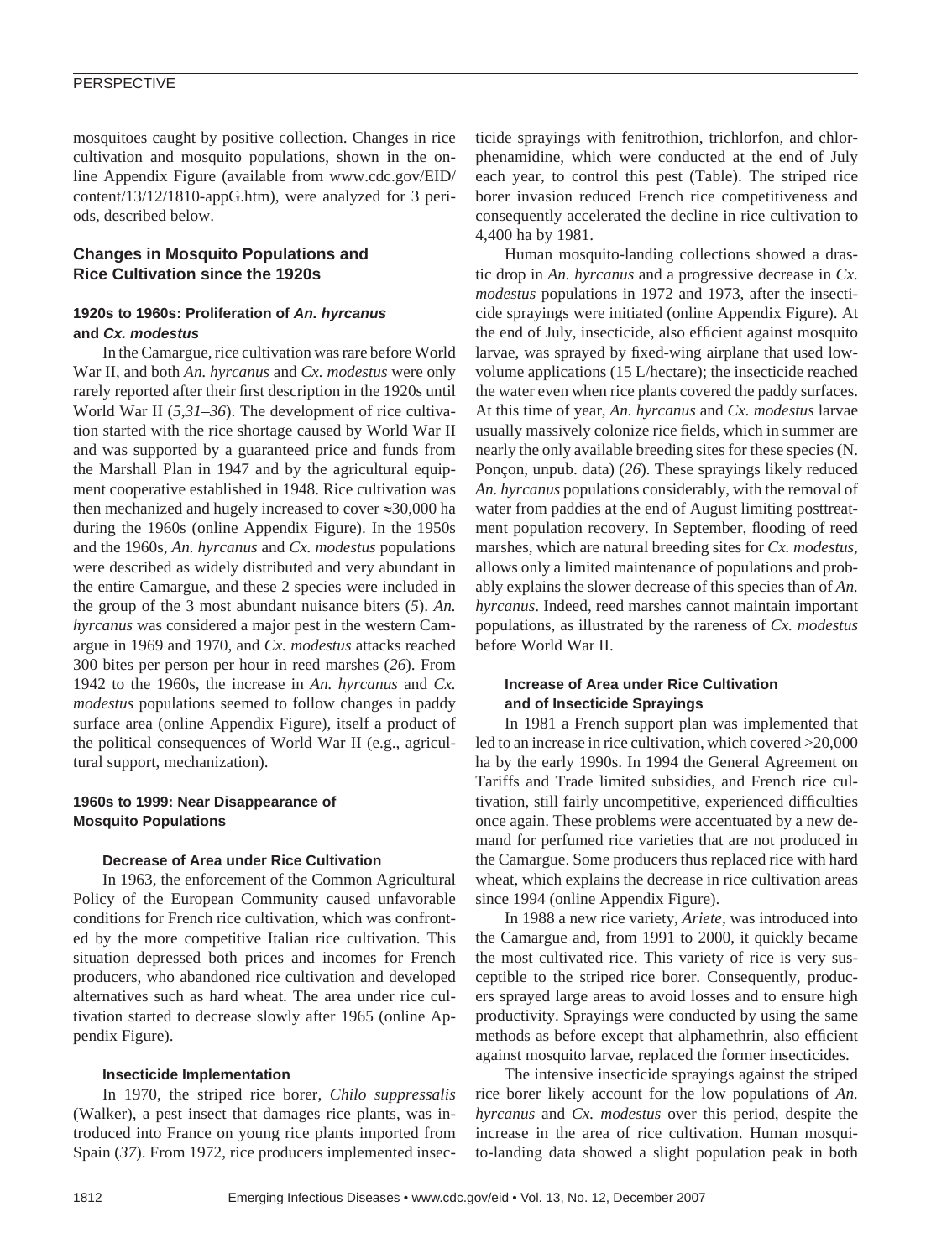## **PERSPECTIVE**

mosquitoes caught by positive collection. Changes in rice cultivation and mosquito populations, shown in the online Appendix Figure (available from www.cdc.gov/EID/ content/13/12/1810-appG.htm), were analyzed for 3 periods, described below.

# **Changes in Mosquito Populations and Rice Cultivation since the 1920s**

## **1920s to 1960s: Proliferation of** *An. hyrcanus* **and** *Cx. modestus*

In the Camargue, rice cultivation was rare before World War II, and both *An. hyrcanus* and *Cx. modestus* were only rarely reported after their first description in the 1920s until World War II (*5*,*31*–*36*). The development of rice cultivation started with the rice shortage caused by World War II and was supported by a guaranteed price and funds from the Marshall Plan in 1947 and by the agricultural equipment cooperative established in 1948. Rice cultivation was then mechanized and hugely increased to cover ≈30,000 ha during the 1960s (online Appendix Figure). In the 1950s and the 1960s, *An. hyrcanus* and *Cx. modestus* populations were described as widely distributed and very abundant in the entire Camargue, and these 2 species were included in the group of the 3 most abundant nuisance biters (*5*). *An. hyrcanus* was considered a major pest in the western Camargue in 1969 and 1970, and *Cx. modestus* attacks reached 300 bites per person per hour in reed marshes (*26*). From 1942 to the 1960s, the increase in *An. hyrcanus* and *Cx. modestus* populations seemed to follow changes in paddy surface area (online Appendix Figure), itself a product of the political consequences of World War II (e.g., agricultural support, mechanization).

## **1960s to 1999: Near Disappearance of Mosquito Populations**

### **Decrease of Area under Rice Cultivation**

In 1963, the enforcement of the Common Agricultural Policy of the European Community caused unfavorable conditions for French rice cultivation, which was confronted by the more competitive Italian rice cultivation. This situation depressed both prices and incomes for French producers, who abandoned rice cultivation and developed alternatives such as hard wheat. The area under rice cultivation started to decrease slowly after 1965 (online Appendix Figure).

### **Insecticide Implementation**

In 1970, the striped rice borer, *Chilo suppressalis* (Walker), a pest insect that damages rice plants, was introduced into France on young rice plants imported from Spain (37). From 1972, rice producers implemented insecticide sprayings with fenitrothion, trichlorfon, and chlorphenamidine, which were conducted at the end of July each year, to control this pest (Table). The striped rice borer invasion reduced French rice competitiveness and consequently accelerated the decline in rice cultivation to 4,400 ha by 1981.

Human mosquito-landing collections showed a drastic drop in *An. hyrcanus* and a progressive decrease in *Cx. modestus* populations in 1972 and 1973, after the insecticide sprayings were initiated (online Appendix Figure). At the end of July, insecticide, also efficient against mosquito larvae, was sprayed by fixed-wing airplane that used lowvolume applications (15 L/hectare); the insecticide reached the water even when rice plants covered the paddy surfaces. At this time of year, *An. hyrcanus* and *Cx. modestus* larvae usually massively colonize rice fields, which in summer are nearly the only available breeding sites for these species (N. Ponçon, unpub. data) (*26*). These sprayings likely reduced *An. hyrcanus* populations considerably, with the removal of water from paddies at the end of August limiting posttreatment population recovery. In September, flooding of reed marshes, which are natural breeding sites for *Cx. modestus*, allows only a limited maintenance of populations and probably explains the slower decrease of this species than of *An. hyrcanus*. Indeed, reed marshes cannot maintain important populations, as illustrated by the rareness of *Cx. modestus* before World War II.

# **Increase of Area under Rice Cultivation and of Insecticide Sprayings**

In 1981 a French support plan was implemented that led to an increase in rice cultivation, which covered >20,000 ha by the early 1990s. In 1994 the General Agreement on Tariffs and Trade limited subsidies, and French rice cultivation, still fairly uncompetitive, experienced difficulties once again. These problems were accentuated by a new demand for perfumed rice varieties that are not produced in the Camargue. Some producers thus replaced rice with hard wheat, which explains the decrease in rice cultivation areas since 1994 (online Appendix Figure).

In 1988 a new rice variety, *Ariete*, was introduced into the Camargue and, from 1991 to 2000, it quickly became the most cultivated rice. This variety of rice is very susceptible to the striped rice borer. Consequently, producers sprayed large areas to avoid losses and to ensure high productivity. Sprayings were conducted by using the same methods as before except that alphamethrin, also efficient against mosquito larvae, replaced the former insecticides.

The intensive insecticide sprayings against the striped rice borer likely account for the low populations of *An. hyrcanus* and *Cx. modestus* over this period, despite the increase in the area of rice cultivation. Human mosquito-landing data showed a slight population peak in both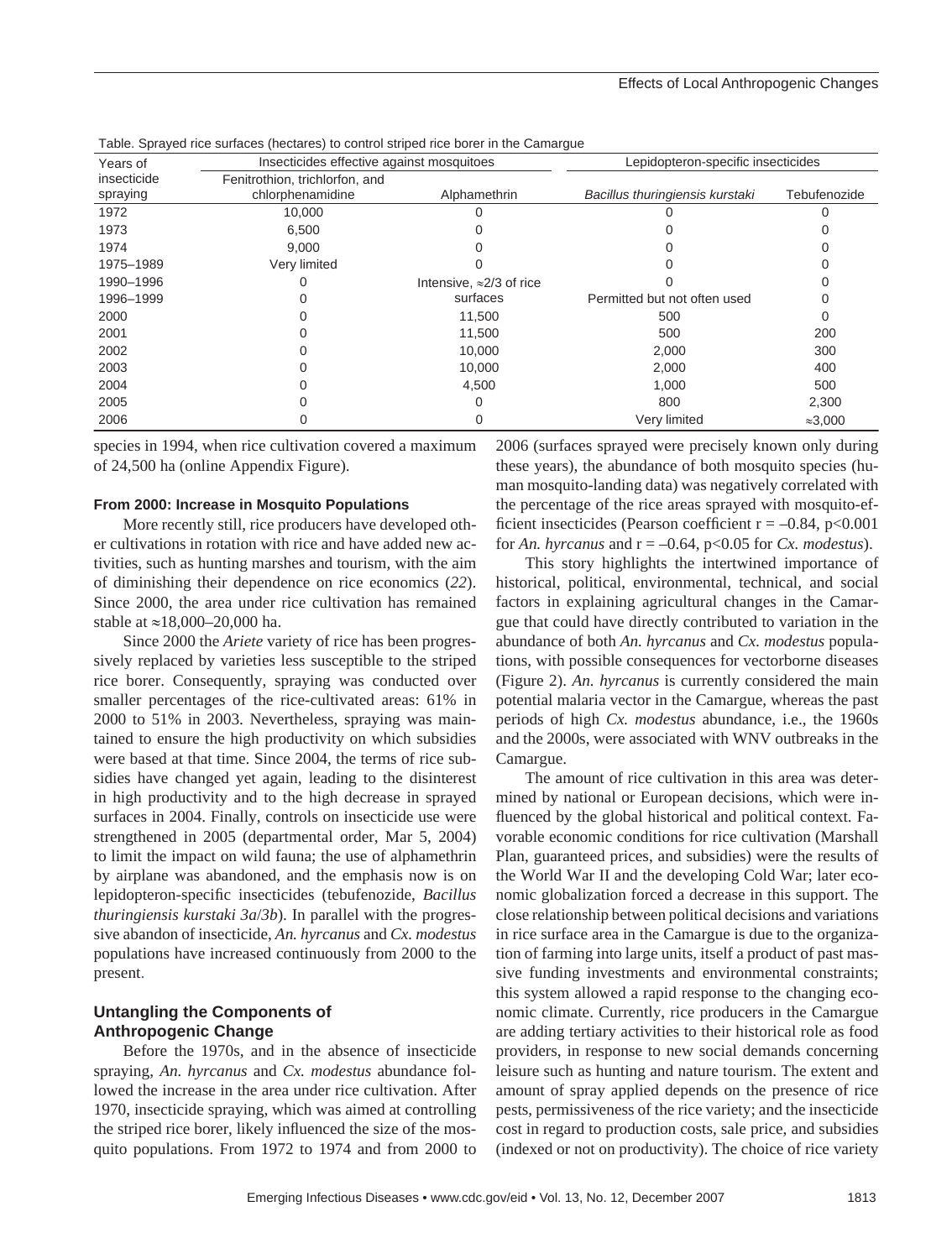| rapic. Oprayca noc sunaccs (nocialist) to control stripca noc boror in the Oamargue |                                                    |                                  |                                    |                 |  |
|-------------------------------------------------------------------------------------|----------------------------------------------------|----------------------------------|------------------------------------|-----------------|--|
| Years of                                                                            | Insecticides effective against mosquitoes          |                                  | Lepidopteron-specific insecticides |                 |  |
| insecticide<br>spraying                                                             | Fenitrothion, trichlorfon, and<br>chlorphenamidine | Alphamethrin                     | Bacillus thuringiensis kurstaki    | Tebufenozide    |  |
| 1972                                                                                | 10,000                                             |                                  |                                    |                 |  |
| 1973                                                                                | 6,500                                              |                                  |                                    |                 |  |
| 1974                                                                                | 9.000                                              |                                  |                                    |                 |  |
| 1975-1989                                                                           | Very limited                                       |                                  |                                    |                 |  |
| 1990-1996                                                                           |                                                    | Intensive, $\approx$ 2/3 of rice |                                    |                 |  |
| 1996-1999                                                                           |                                                    | surfaces                         | Permitted but not often used       |                 |  |
| 2000                                                                                |                                                    | 11,500                           | 500                                | 0               |  |
| 2001                                                                                |                                                    | 11,500                           | 500                                | 200             |  |
| 2002                                                                                |                                                    | 10.000                           | 2,000                              | 300             |  |
| 2003                                                                                |                                                    | 10,000                           | 2,000                              | 400             |  |
| 2004                                                                                |                                                    | 4,500                            | 1,000                              | 500             |  |
| 2005                                                                                |                                                    |                                  | 800                                | 2,300           |  |
| 2006                                                                                |                                                    |                                  | Very limited                       | $\approx 3,000$ |  |

Table. Sprayed rice surfaces (hectares) to control striped rice borer in the Camargue

species in 1994, when rice cultivation covered a maximum of 24,500 ha (online Appendix Figure).

#### **From 2000: Increase in Mosquito Populations**

More recently still, rice producers have developed other cultivations in rotation with rice and have added new activities, such as hunting marshes and tourism, with the aim of diminishing their dependence on rice economics (*22*). Since 2000, the area under rice cultivation has remained stable at ≈18,000–20,000 ha.

Since 2000 the *Ariete* variety of rice has been progressively replaced by varieties less susceptible to the striped rice borer. Consequently, spraying was conducted over smaller percentages of the rice-cultivated areas: 61% in 2000 to 51% in 2003. Nevertheless, spraying was maintained to ensure the high productivity on which subsidies were based at that time. Since 2004, the terms of rice subsidies have changed yet again, leading to the disinterest in high productivity and to the high decrease in sprayed surfaces in 2004. Finally, controls on insecticide use were strengthened in 2005 (departmental order, Mar 5, 2004) to limit the impact on wild fauna; the use of alphamethrin by airplane was abandoned, and the emphasis now is on lepidopteron-specific insecticides (tebufenozide, *Bacillus thuringiensis kurstaki 3a*/*3b*). In parallel with the progressive abandon of insecticide, *An. hyrcanus* and *Cx. modestus* populations have increased continuously from 2000 to the present.

## **Untangling the Components of Anthropogenic Change**

Before the 1970s, and in the absence of insecticide spraying, *An. hyrcanus* and *Cx. modestus* abundance followed the increase in the area under rice cultivation. After 1970, insecticide spraying, which was aimed at controlling the striped rice borer, likely influenced the size of the mosquito populations. From 1972 to 1974 and from 2000 to

2006 (surfaces sprayed were precisely known only during these years), the abundance of both mosquito species (human mosquito-landing data) was negatively correlated with the percentage of the rice areas sprayed with mosquito-efficient insecticides (Pearson coefficient  $r = -0.84$ , p<0.001 for *An. hyrcanus* and  $r = -0.64$ ,  $p < 0.05$  for *Cx. modestus*).

This story highlights the intertwined importance of historical, political, environmental, technical, and social factors in explaining agricultural changes in the Camargue that could have directly contributed to variation in the abundance of both *An. hyrcanus* and *Cx. modestus* populations, with possible consequences for vectorborne diseases (Figure 2). *An. hyrcanus* is currently considered the main potential malaria vector in the Camargue, whereas the past periods of high *Cx. modestus* abundance, i.e., the 1960s and the 2000s, were associated with WNV outbreaks in the Camargue.

The amount of rice cultivation in this area was determined by national or European decisions, which were influenced by the global historical and political context. Favorable economic conditions for rice cultivation (Marshall Plan, guaranteed prices, and subsidies) were the results of the World War II and the developing Cold War; later economic globalization forced a decrease in this support. The close relationship between political decisions and variations in rice surface area in the Camargue is due to the organization of farming into large units, itself a product of past massive funding investments and environmental constraints; this system allowed a rapid response to the changing economic climate. Currently, rice producers in the Camargue are adding tertiary activities to their historical role as food providers, in response to new social demands concerning leisure such as hunting and nature tourism. The extent and amount of spray applied depends on the presence of rice pests, permissiveness of the rice variety; and the insecticide cost in regard to production costs, sale price, and subsidies (indexed or not on productivity). The choice of rice variety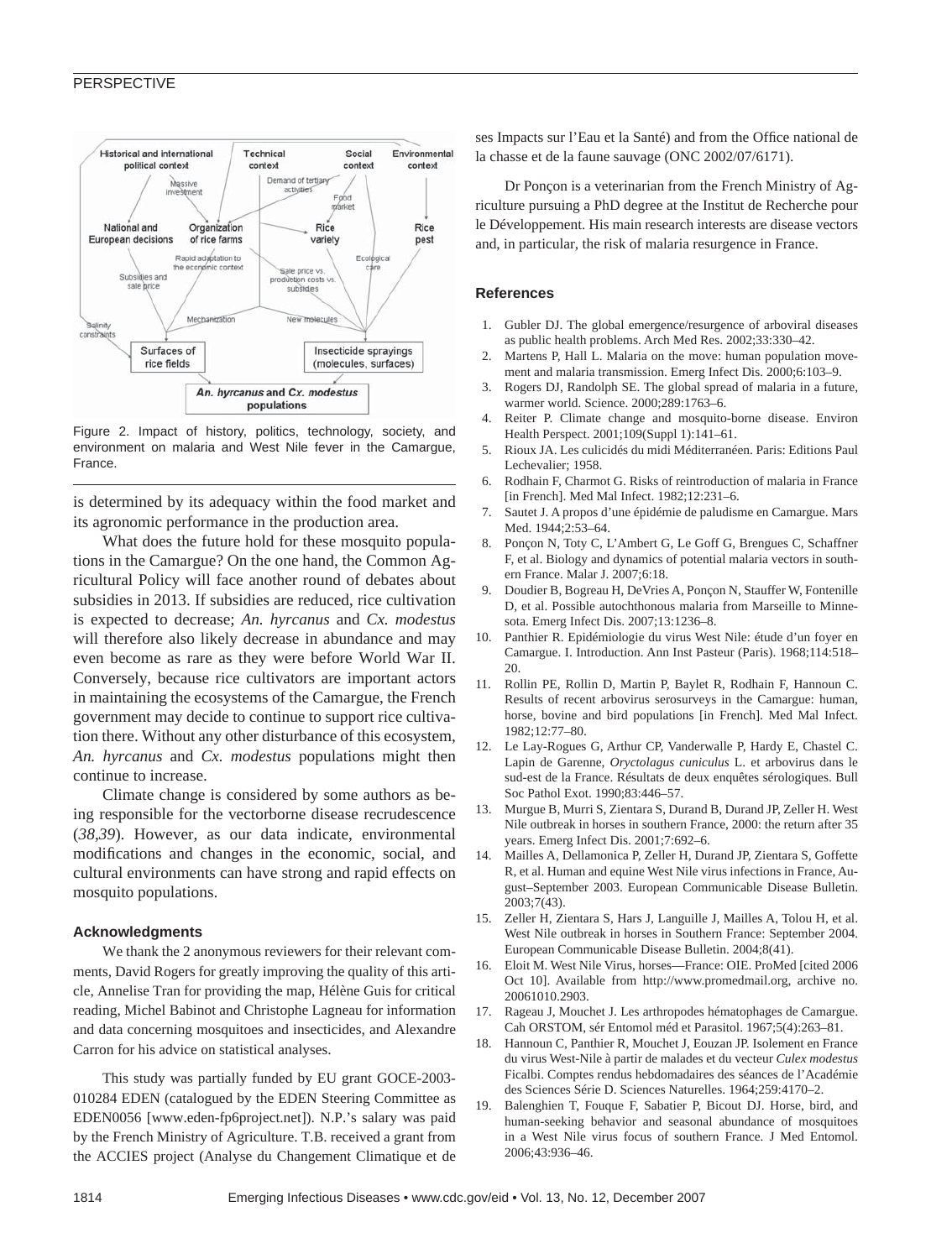#### PERSPECTIVE



Figure 2. Impact of history, politics, technology, society, and environment on malaria and West Nile fever in the Camargue, France.

is determined by its adequacy within the food market and its agronomic performance in the production area.

What does the future hold for these mosquito populations in the Camargue? On the one hand, the Common Agricultural Policy will face another round of debates about subsidies in 2013. If subsidies are reduced, rice cultivation is expected to decrease; *An. hyrcanus* and *Cx. modestus* will therefore also likely decrease in abundance and may even become as rare as they were before World War II. Conversely, because rice cultivators are important actors in maintaining the ecosystems of the Camargue, the French government may decide to continue to support rice cultivation there. Without any other disturbance of this ecosystem, *An. hyrcanus* and *Cx. modestus* populations might then continue to increase.

Climate change is considered by some authors as being responsible for the vectorborne disease recrudescence (*38*,*39*). However, as our data indicate, environmental modifications and changes in the economic, social, and cultural environments can have strong and rapid effects on mosquito populations.

#### **Acknowledgments**

We thank the 2 anonymous reviewers for their relevant comments, David Rogers for greatly improving the quality of this article, Annelise Tran for providing the map, Hélène Guis for critical reading, Michel Babinot and Christophe Lagneau for information and data concerning mosquitoes and insecticides, and Alexandre Carron for his advice on statistical analyses.

This study was partially funded by EU grant GOCE-2003- 010284 EDEN (catalogued by the EDEN Steering Committee as EDEN0056 [www.eden-fp6project.net]). N.P.'s salary was paid by the French Ministry of Agriculture. T.B. received a grant from the ACCIES project (Analyse du Changement Climatique et de

ses Impacts sur l'Eau et la Santé) and from the Office national de la chasse et de la faune sauvage (ONC 2002/07/6171).

Dr Ponçon is a veterinarian from the French Ministry of Agriculture pursuing a PhD degree at the Institut de Recherche pour le Développement. His main research interests are disease vectors and, in particular, the risk of malaria resurgence in France.

#### **References**

- 1. Gubler DJ. The global emergence/resurgence of arboviral diseases as public health problems. Arch Med Res. 2002;33:330–42.
- 2. Martens P, Hall L. Malaria on the move: human population movement and malaria transmission. Emerg Infect Dis. 2000;6:103–9.
- 3. Rogers DJ, Randolph SE. The global spread of malaria in a future, warmer world. Science. 2000;289:1763–6.
- 4. Reiter P. Climate change and mosquito-borne disease. Environ Health Perspect. 2001;109(Suppl 1):141–61.
- 5. Rioux JA. Les culicidés du midi Méditerranéen. Paris: Editions Paul Lechevalier; 1958.
- 6. Rodhain F, Charmot G. Risks of reintroduction of malaria in France [in French]. Med Mal Infect. 1982;12:231–6.
- 7. Sautet J. A propos d'une épidémie de paludisme en Camargue. Mars Med. 1944;2:53–64.
- 8. Ponçon N, Toty C, L'Ambert G, Le Goff G, Brengues C, Schaffner F, et al. Biology and dynamics of potential malaria vectors in southern France. Malar J. 2007;6:18.
- 9. Doudier B, Bogreau H, DeVries A, Ponçon N, Stauffer W, Fontenille D, et al. Possible autochthonous malaria from Marseille to Minnesota. Emerg Infect Dis. 2007;13:1236–8.
- 10. Panthier R. Epidémiologie du virus West Nile: étude d'un foyer en Camargue. I. Introduction. Ann Inst Pasteur (Paris). 1968;114:518– 20.
- 11. Rollin PE, Rollin D, Martin P, Baylet R, Rodhain F, Hannoun C. Results of recent arbovirus serosurveys in the Camargue: human, horse, bovine and bird populations [in French]. Med Mal Infect. 1982;12:77–80.
- 12. Le Lay-Rogues G, Arthur CP, Vanderwalle P, Hardy E, Chastel C. Lapin de Garenne, *Oryctolagus cuniculus* L. et arbovirus dans le sud-est de la France. Résultats de deux enquêtes sérologiques. Bull Soc Pathol Exot. 1990;83:446–57.
- 13. Murgue B, Murri S, Zientara S, Durand B, Durand JP, Zeller H. West Nile outbreak in horses in southern France, 2000: the return after 35 years. Emerg Infect Dis. 2001;7:692–6.
- 14. Mailles A, Dellamonica P, Zeller H, Durand JP, Zientara S, Goffette R, et al. Human and equine West Nile virus infections in France, August–September 2003. European Communicable Disease Bulletin. 2003;7(43).
- 15. Zeller H, Zientara S, Hars J, Languille J, Mailles A, Tolou H, et al. West Nile outbreak in horses in Southern France: September 2004. European Communicable Disease Bulletin. 2004;8(41).
- 16. Eloit M. West Nile Virus, horses—France: OIE. ProMed [cited 2006 Oct 10]. Available from http://www.promedmail.org, archive no. 20061010.2903.
- 17. Rageau J, Mouchet J. Les arthropodes hématophages de Camargue. Cah ORSTOM, sér Entomol méd et Parasitol. 1967;5(4):263–81.
- 18. Hannoun C, Panthier R, Mouchet J, Eouzan JP. Isolement en France du virus West-Nile à partir de malades et du vecteur *Culex modestus* Ficalbi. Comptes rendus hebdomadaires des séances de l'Académie des Sciences Série D. Sciences Naturelles. 1964;259:4170–2.
- 19. Balenghien T, Fouque F, Sabatier P, Bicout DJ. Horse, bird, and human-seeking behavior and seasonal abundance of mosquitoes in a West Nile virus focus of southern France. J Med Entomol. 2006;43:936–46.